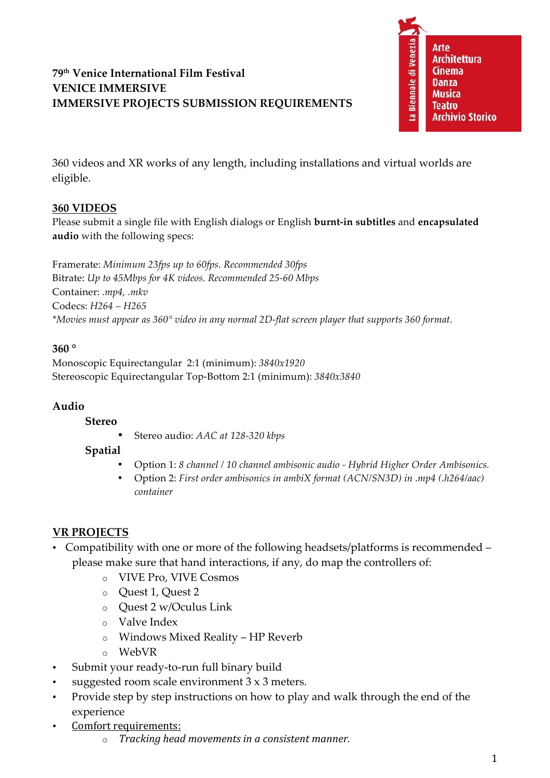# **79th Venice International Film Festival VENICE IMMERSIVE IMMERSIVE PROJECTS SUBMISSION REQUIREMENTS**



360 videos and XR works of any length, including installations and virtual worlds are eligible.

### **360 VIDEOS**

Please submit a single file with English dialogs or English **burnt-in subtitles** and **encapsulated audio** with the following specs:

Framerate: *Minimum 23fps up to 60fps. Recommended 30fps* Bitrate: *Up to 45Mbps for 4K videos. Recommended 25-60 Mbps* Container: *.mp4, .mkv* Codecs: *H264 – H265 \*Movies must appear as 360° video in any normal 2D-flat screen player that supports 360 format.*

### **360 °**

Monoscopic Equirectangular 2:1 (minimum): *3840x1920* Stereoscopic Equirectangular Top-Bottom 2:1 (minimum): *3840x3840*

# **Audio**

#### **Stereo**

• Stereo audio: *AAC at 128-320 kbps*

### **Spatial**

- Option 1: *8 channel / 10 channel ambisonic audio - Hybrid Higher Order Ambisonics.*
- Option 2: *First order ambisonics in ambiX format (ACN/SN3D) in .mp4 (.h264/aac) container*

# **VR PROJECTS**

- Compatibility with one or more of the following headsets/platforms is recommended please make sure that hand interactions, if any, do map the controllers of:
	- o VIVE Pro, VIVE Cosmos
	- o Quest 1, Quest 2
	- o Quest 2 w/Oculus Link
	- o Valve Index
	- o Windows Mixed Reality HP Reverb
	- o WebVR
- Submit your ready-to-run full binary build
- suggested room scale environment 3 x 3 meters.
- Provide step by step instructions on how to play and walk through the end of the experience
- Comfort requirements:
	- o *Tracking head movements in a consistent manner.*